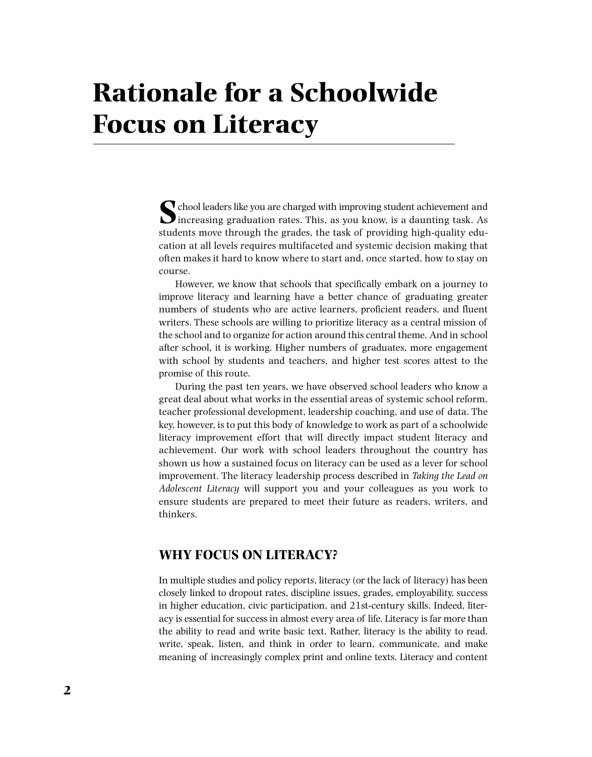# **Rationale for a Schoolwide Focus on Literacy**

**S**chool leaders like you are charged with improving student achievement and increasing graduation rates. This, as you know, is a daunting task. As students move through the grades, the task of providing high-quality education at all levels requires multifaceted and systemic decision making that often makes it hard to know where to start and, once started, how to stay on course.

However, we know that schools that specifically embark on a journey to improve literacy and learning have a better chance of graduating greater numbers of students who are active learners, proficient readers, and fluent writers. These schools are willing to prioritize literacy as a central mission of the school and to organize for action around this central theme. And in school after school, it is working. Higher numbers of graduates, more engagement with school by students and teachers, and higher test scores attest to the promise of this route.

During the past ten years, we have observed school leaders who know a great deal about what works in the essential areas of systemic school reform, teacher professional development, leadership coaching, and use of data. The key, however, is to put this body of knowledge to work as part of a schoolwide literacy improvement effort that will directly impact student literacy and achievement. Our work with school leaders throughout the country has shown us how a sustained focus on literacy can be used as a lever for school improvement. The literacy leadership process described in *Taking the Lead on Adolescent Literacy* will support you and your colleagues as you work to ensure students are prepared to meet their future as readers, writers, and thinkers.

### **WHY FOCUS ON LITERACY?**

In multiple studies and policy reports, literacy (or the lack of literacy) has been closely linked to dropout rates, discipline issues, grades, employability, success in higher education, civic participation, and 21st-century skills. Indeed, literacy is essential for success in almost every area of life. Literacy is far more than the ability to read and write basic text. Rather, literacy is the ability to read, write, speak, listen, and think in order to learn, communicate, and make meaning of increasingly complex print and online texts. Literacy and content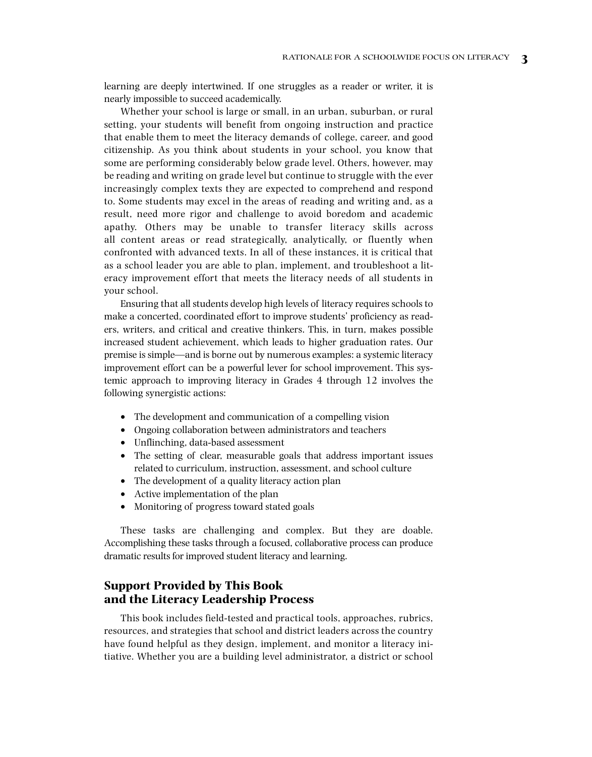learning are deeply intertwined. If one struggles as a reader or writer, it is nearly impossible to succeed academically.

Whether your school is large or small, in an urban, suburban, or rural setting, your students will benefit from ongoing instruction and practice that enable them to meet the literacy demands of college, career, and good citizenship. As you think about students in your school, you know that some are performing considerably below grade level. Others, however, may be reading and writing on grade level but continue to struggle with the ever increasingly complex texts they are expected to comprehend and respond to. Some students may excel in the areas of reading and writing and, as a result, need more rigor and challenge to avoid boredom and academic apathy. Others may be unable to transfer literacy skills across all content areas or read strategically, analytically, or fluently when confronted with advanced texts. In all of these instances, it is critical that as a school leader you are able to plan, implement, and troubleshoot a literacy improvement effort that meets the literacy needs of all students in your school.

Ensuring that all students develop high levels of literacy requires schools to make a concerted, coordinated effort to improve students' proficiency as readers, writers, and critical and creative thinkers. This, in turn, makes possible increased student achievement, which leads to higher graduation rates. Our premise is simple—and is borne out by numerous examples: a systemic literacy improvement effort can be a powerful lever for school improvement. This systemic approach to improving literacy in Grades 4 through 12 involves the following synergistic actions:

- The development and communication of a compelling vision
- Ongoing collaboration between administrators and teachers
- Unflinching, data-based assessment
- The setting of clear, measurable goals that address important issues related to curriculum, instruction, assessment, and school culture
- The development of a quality literacy action plan
- Active implementation of the plan
- Monitoring of progress toward stated goals

These tasks are challenging and complex. But they are doable. Accomplishing these tasks through a focused, collaborative process can produce dramatic results for improved student literacy and learning.

#### **Support Provided by This Book and the Literacy Leadership Process**

This book includes field-tested and practical tools, approaches, rubrics, resources, and strategies that school and district leaders across the country have found helpful as they design, implement, and monitor a literacy initiative. Whether you are a building level administrator, a district or school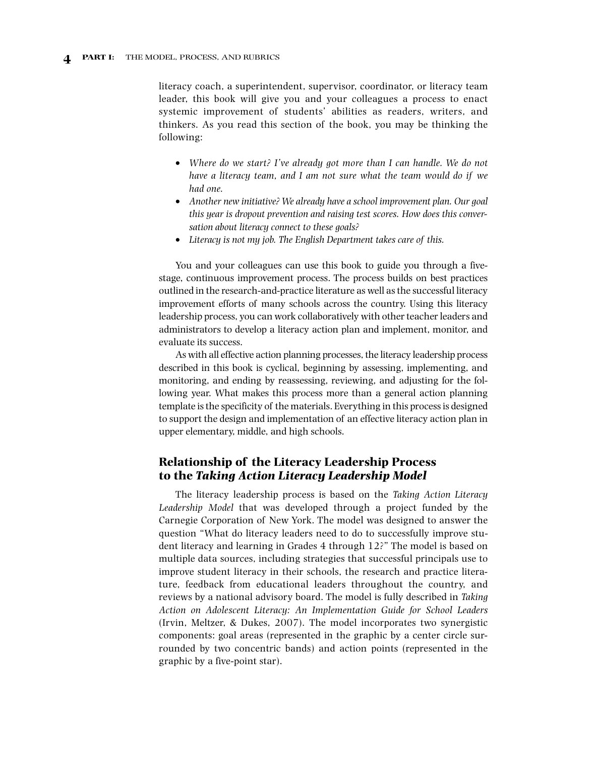literacy coach, a superintendent, supervisor, coordinator, or literacy team leader, this book will give you and your colleagues a process to enact systemic improvement of students' abilities as readers, writers, and thinkers. As you read this section of the book, you may be thinking the following:

- *Where do we start? I've already got more than I can handle. We do not have a literacy team, and I am not sure what the team would do if we had one.*
- *Another new initiative? We already have a school improvement plan. Our goal this year is dropout prevention and raising test scores. How does this conversation about literacy connect to these goals?*
- *Literacy is not my job. The English Department takes care of this.*

You and your colleagues can use this book to guide you through a fivestage, continuous improvement process. The process builds on best practices outlined in the research-and-practice literature as well asthe successful literacy improvement efforts of many schools across the country. Using this literacy leadership process, you can work collaboratively with other teacher leaders and administrators to develop a literacy action plan and implement, monitor, and evaluate its success.

As with all effective action planning processes, the literacy leadership process described in this book is cyclical, beginning by assessing, implementing, and monitoring, and ending by reassessing, reviewing, and adjusting for the following year. What makes this process more than a general action planning template isthe specificity of the materials. Everything in this processis designed to support the design and implementation of an effective literacy action plan in upper elementary, middle, and high schools.

#### **Relationship of the Literacy Leadership Process to the** *Taking Action Literacy Leadership Model*

The literacy leadership process is based on the *Taking Action Literacy Leadership Model* that was developed through a project funded by the Carnegie Corporation of New York. The model was designed to answer the question "What do literacy leaders need to do to successfully improve student literacy and learning in Grades 4 through 12?" The model is based on multiple data sources, including strategies that successful principals use to improve student literacy in their schools, the research and practice literature, feedback from educational leaders throughout the country, and reviews by a national advisory board. The model is fully described in *Taking Action on Adolescent Literacy: An Implementation Guide for School Leaders* (Irvin, Meltzer, & Dukes, 2007). The model incorporates two synergistic components: goal areas (represented in the graphic by a center circle surrounded by two concentric bands) and action points (represented in the graphic by a five-point star).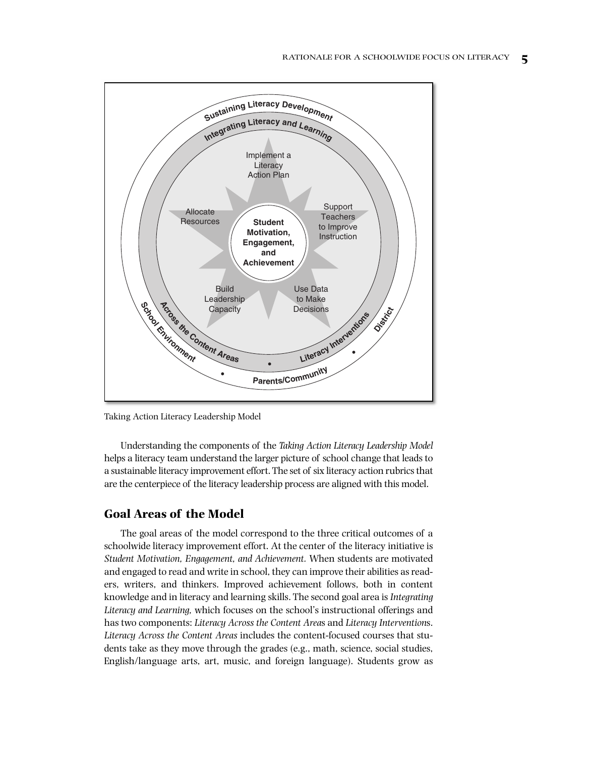

Taking Action Literacy Leadership Model

Understanding the components of the *Taking Action Literacy Leadership Model* helps a literacy team understand the larger picture of school change that leads to a sustainable literacy improvement effort. The set of six literacy action rubrics that are the centerpiece of the literacy leadership process are aligned with this model.

#### **Goal Areas of the Model**

The goal areas of the model correspond to the three critical outcomes of a schoolwide literacy improvement effort. At the center of the literacy initiative is *Student Motivation, Engagement, and Achievement.* When students are motivated and engaged to read and write in school, they can improve their abilities as readers, writers, and thinkers. Improved achievement follows, both in content knowledge and in literacy and learning skills. The second goal area is *Integrating Literacy and Learning,* which focuses on the school's instructional offerings and has two components: *Literacy Across the Content Area*s and *Literacy Intervention*s. *Literacy Across the Content Areas* includes the content-focused courses that students take as they move through the grades (e.g., math, science, social studies, English/language arts, art, music, and foreign language). Students grow as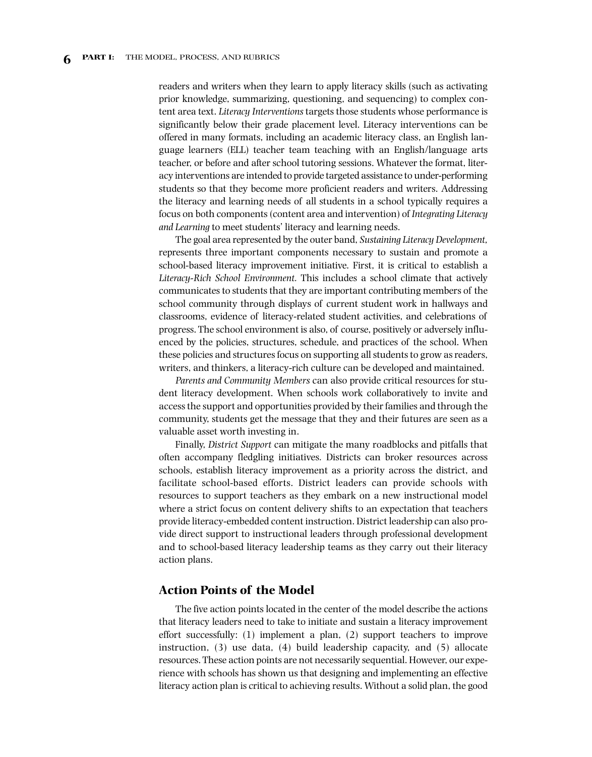readers and writers when they learn to apply literacy skills (such as activating prior knowledge, summarizing, questioning, and sequencing) to complex content area text. *Literacy Interventions* targets those students whose performance is significantly below their grade placement level. Literacy interventions can be offered in many formats, including an academic literacy class, an English language learners (ELL) teacher team teaching with an English/language arts teacher, or before and after school tutoring sessions. Whatever the format, literacy interventions are intended to provide targeted assistance to under-performing students so that they become more proficient readers and writers. Addressing the literacy and learning needs of all students in a school typically requires a focus on both components (content area and intervention) of *Integrating Literacy and Learning* to meet students' literacy and learning needs.

The goal area represented by the outer band, *Sustaining Literacy Development,* represents three important components necessary to sustain and promote a school-based literacy improvement initiative. First, it is critical to establish a *Literacy-Rich School Environment.* This includes a school climate that actively communicates to students that they are important contributing members of the school community through displays of current student work in hallways and classrooms, evidence of literacy-related student activities, and celebrations of progress. The school environment is also, of course, positively or adversely influenced by the policies, structures, schedule, and practices of the school. When these policies and structures focus on supporting all students to grow as readers, writers, and thinkers, a literacy-rich culture can be developed and maintained.

*Parents and Community Members* can also provide critical resources for student literacy development. When schools work collaboratively to invite and access the support and opportunities provided by their families and through the community, students get the message that they and their futures are seen as a valuable asset worth investing in.

Finally, *District Support* can mitigate the many roadblocks and pitfalls that often accompany fledgling initiatives*.* Districts can broker resources across schools, establish literacy improvement as a priority across the district, and facilitate school-based efforts. District leaders can provide schools with resources to support teachers as they embark on a new instructional model where a strict focus on content delivery shifts to an expectation that teachers provide literacy-embedded content instruction. District leadership can also provide direct support to instructional leaders through professional development and to school-based literacy leadership teams as they carry out their literacy action plans.

#### **Action Points of the Model**

The five action points located in the center of the model describe the actions that literacy leaders need to take to initiate and sustain a literacy improvement effort successfully: (1) implement a plan, (2) support teachers to improve instruction, (3) use data, (4) build leadership capacity, and (5) allocate resources.These action points are not necessarily sequential. However, our experience with schools has shown us that designing and implementing an effective literacy action plan is critical to achieving results. Without a solid plan, the good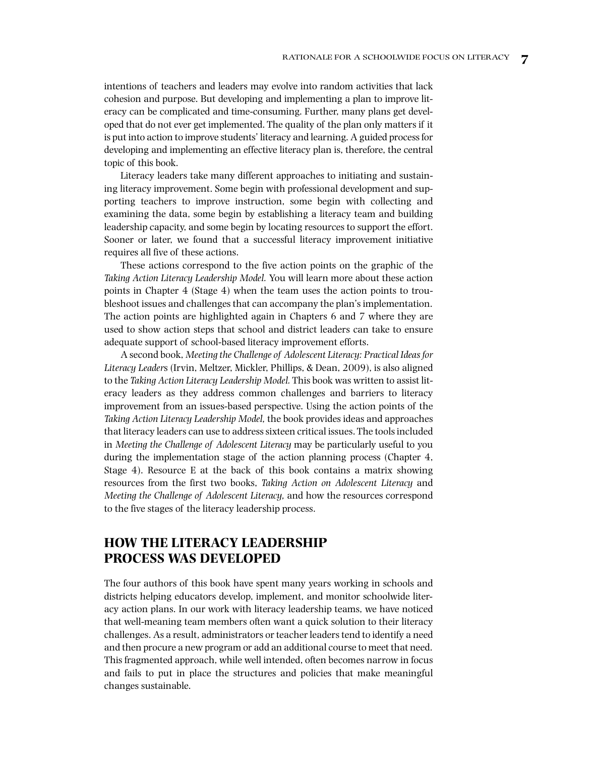intentions of teachers and leaders may evolve into random activities that lack cohesion and purpose. But developing and implementing a plan to improve literacy can be complicated and time-consuming. Further, many plans get developed that do not ever get implemented. The quality of the plan only matters if it is put into action to improve students' literacy and learning. A guided process for developing and implementing an effective literacy plan is, therefore, the central topic of this book.

Literacy leaders take many different approaches to initiating and sustaining literacy improvement. Some begin with professional development and supporting teachers to improve instruction, some begin with collecting and examining the data, some begin by establishing a literacy team and building leadership capacity, and some begin by locating resources to support the effort. Sooner or later, we found that a successful literacy improvement initiative requires all five of these actions.

These actions correspond to the five action points on the graphic of the *Taking Action Literacy Leadership Model.* You will learn more about these action points in Chapter 4 (Stage 4) when the team uses the action points to troubleshoot issues and challenges that can accompany the plan's implementation. The action points are highlighted again in Chapters 6 and 7 where they are used to show action steps that school and district leaders can take to ensure adequate support of school-based literacy improvement efforts.

A second book, *Meeting the Challenge of Adolescent Literacy: Practical Ideasfor Literacy Leader*s (Irvin, Meltzer, Mickler, Phillips, & Dean, 2009), is also aligned to the *Taking Action Literacy Leadership Model.* This book was written to assist literacy leaders as they address common challenges and barriers to literacy improvement from an issues-based perspective. Using the action points of the *Taking Action Literacy Leadership Model,* the book provides ideas and approaches that literacy leaders can use to addresssixteen critical issues. The toolsincluded in *Meeting the Challenge of Adolescent Literacy* may be particularly useful to you during the implementation stage of the action planning process (Chapter 4, Stage 4). Resource E at the back of this book contains a matrix showing resources from the first two books, *Taking Action on Adolescent Literacy* and *Meeting the Challenge of Adolescent Literacy,* and how the resources correspond to the five stages of the literacy leadership process.

## **HOW THE LITERACY LEADERSHIP PROCESS WAS DEVELOPED**

The four authors of this book have spent many years working in schools and districts helping educators develop, implement, and monitor schoolwide literacy action plans. In our work with literacy leadership teams, we have noticed that well-meaning team members often want a quick solution to their literacy challenges. As a result, administrators or teacher leaders tend to identify a need and then procure a new program or add an additional course to meet that need. This fragmented approach, while well intended, often becomes narrow in focus and fails to put in place the structures and policies that make meaningful changes sustainable.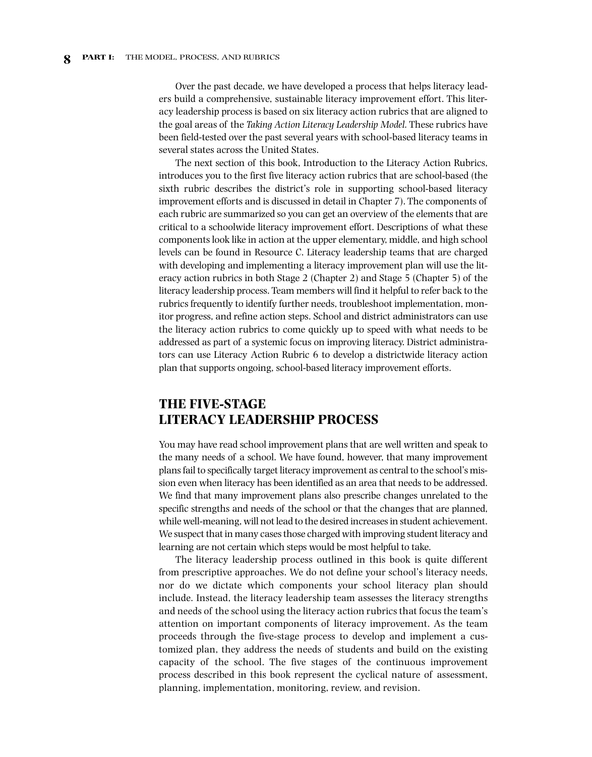Over the past decade, we have developed a process that helps literacy leaders build a comprehensive, sustainable literacy improvement effort. This literacy leadership process is based on six literacy action rubrics that are aligned to the goal areas of the *Taking Action Literacy Leadership Model.* These rubrics have been field-tested over the past several years with school-based literacy teams in several states across the United States.

The next section of this book, Introduction to the Literacy Action Rubrics, introduces you to the first five literacy action rubrics that are school-based (the sixth rubric describes the district's role in supporting school-based literacy improvement efforts and is discussed in detail in Chapter 7). The components of each rubric are summarized so you can get an overview of the elements that are critical to a schoolwide literacy improvement effort. Descriptions of what these components look like in action at the upper elementary, middle, and high school levels can be found in Resource C. Literacy leadership teams that are charged with developing and implementing a literacy improvement plan will use the literacy action rubrics in both Stage 2 (Chapter 2) and Stage 5 (Chapter 5) of the literacy leadership process. Team members will find it helpful to refer back to the rubrics frequently to identify further needs, troubleshoot implementation, monitor progress, and refine action steps. School and district administrators can use the literacy action rubrics to come quickly up to speed with what needs to be addressed as part of a systemic focus on improving literacy. District administrators can use Literacy Action Rubric 6 to develop a districtwide literacy action plan that supports ongoing, school-based literacy improvement efforts.

## **THE FIVE-STAGE LITERACY LEADERSHIP PROCESS**

You may have read school improvement plans that are well written and speak to the many needs of a school. We have found, however, that many improvement plansfail to specifically target literacy improvement as central to the school's mission even when literacy has been identified as an area that needs to be addressed. We find that many improvement plans also prescribe changes unrelated to the specific strengths and needs of the school or that the changes that are planned, while well-meaning, will not lead to the desired increases in student achievement. We suspect that in many cases those charged with improving student literacy and learning are not certain which steps would be most helpful to take.

The literacy leadership process outlined in this book is quite different from prescriptive approaches. We do not define your school's literacy needs, nor do we dictate which components your school literacy plan should include. Instead, the literacy leadership team assesses the literacy strengths and needs of the school using the literacy action rubrics that focus the team's attention on important components of literacy improvement. As the team proceeds through the five-stage process to develop and implement a customized plan, they address the needs of students and build on the existing capacity of the school. The five stages of the continuous improvement process described in this book represent the cyclical nature of assessment, planning, implementation, monitoring, review, and revision.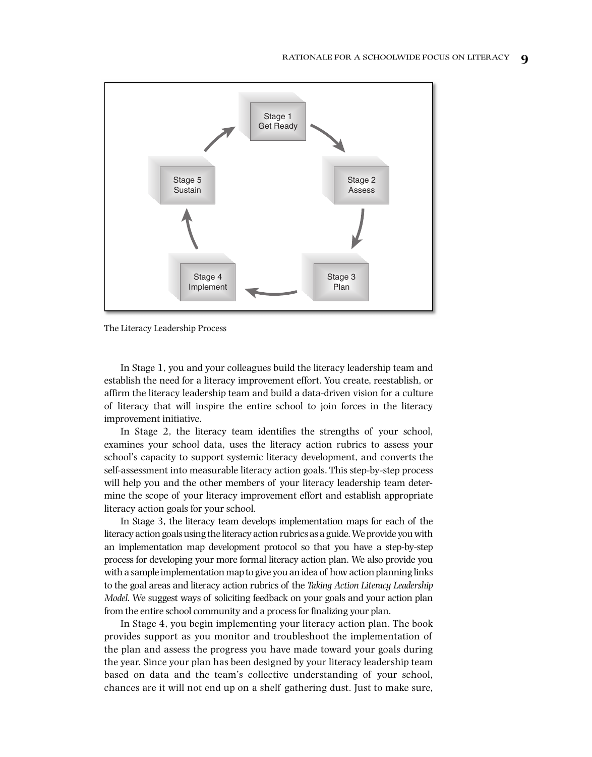

The Literacy Leadership Process

In Stage 1, you and your colleagues build the literacy leadership team and establish the need for a literacy improvement effort. You create, reestablish, or affirm the literacy leadership team and build a data-driven vision for a culture of literacy that will inspire the entire school to join forces in the literacy improvement initiative.

In Stage 2, the literacy team identifies the strengths of your school, examines your school data, uses the literacy action rubrics to assess your school's capacity to support systemic literacy development, and converts the self-assessment into measurable literacy action goals. This step-by-step process will help you and the other members of your literacy leadership team determine the scope of your literacy improvement effort and establish appropriate literacy action goals for your school.

In Stage 3, the literacy team develops implementation maps for each of the literacy action goals using the literacy action rubrics as a guide. We provide you with an implementation map development protocol so that you have a step-by-step process for developing your more formal literacy action plan. We also provide you with a sample implementation map to give you an idea of how action planning links to the goal areas and literacy action rubrics of the *Taking Action Literacy Leadership Model.* We suggest ways of soliciting feedback on your goals and your action plan from the entire school community and a process for finalizing your plan.

In Stage 4, you begin implementing your literacy action plan. The book provides support as you monitor and troubleshoot the implementation of the plan and assess the progress you have made toward your goals during the year. Since your plan has been designed by your literacy leadership team based on data and the team's collective understanding of your school, chances are it will not end up on a shelf gathering dust. Just to make sure,